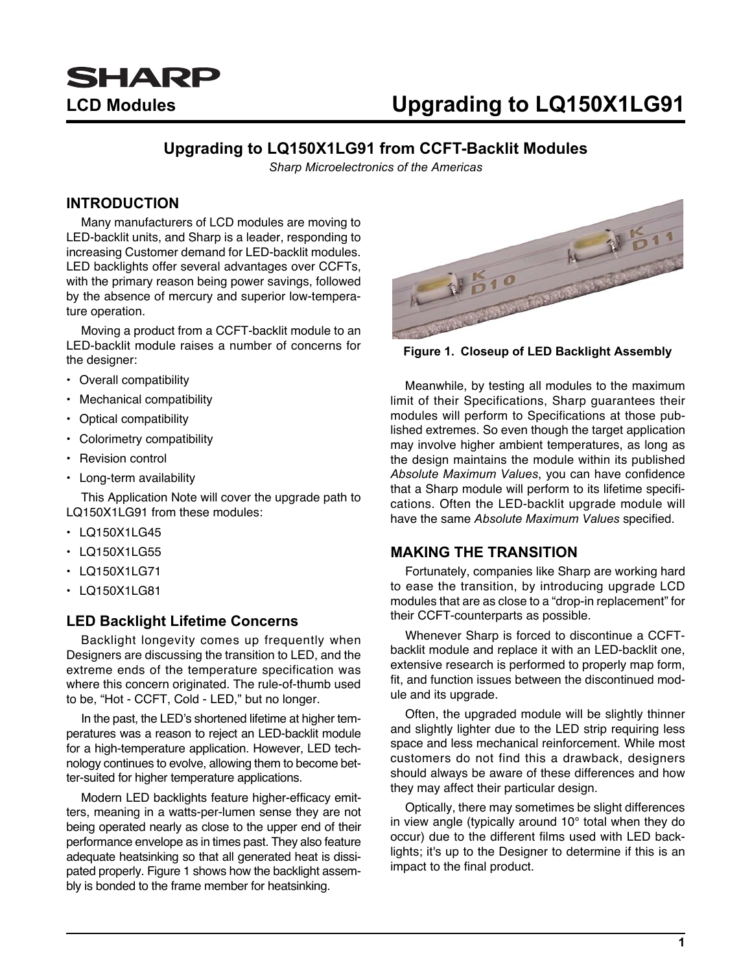

## LCD Modules **LACU CONTENSISTS** Upgrading to LQ150X1LG91

### **Upgrading to LQ150X1LG91 from CCFT-Backlit Modules**

*Sharp Microelectronics of the Americas*

#### **INTRODUCTION**

Many manufacturers of LCD modules are moving to LED-backlit units, and Sharp is a leader, responding to increasing Customer demand for LED-backlit modules. LED backlights offer several advantages over CCFTs, with the primary reason being power savings, followed by the absence of mercury and superior low-temperature operation.

Moving a product from a CCFT-backlit module to an LED-backlit module raises a number of concerns for the designer:

- Overall compatibility
- Mechanical compatibility
- Optical compatibility
- Colorimetry compatibility
- Revision control
- Long-term availability

This Application Note will cover the upgrade path to LQ150X1LG91 from these modules:

- LQ150X1LG45
- LQ150X1LG55
- LQ150X1LG71
- LQ150X1LG81

#### **LED Backlight Lifetime Concerns**

Backlight longevity comes up frequently when Designers are discussing the transition to LED, and the extreme ends of the temperature specification was where this concern originated. The rule-of-thumb used to be, "Hot - CCFT, Cold - LED," but no longer.

In the past, the LED's shortened lifetime at higher temperatures was a reason to reject an LED-backlit module for a high-temperature application. However, LED technology continues to evolve, allowing them to become better-suited for higher temperature applications.

Modern LED backlights feature higher-efficacy emitters, meaning in a watts-per-lumen sense they are not being operated nearly as close to the upper end of their performance envelope as in times past. They also feature adequate heatsinking so that all generated heat is dissipated properly. [Figure 1](#page-0-0) shows how the backlight assembly is bonded to the frame member for heatsinking.



**Figure 1. Closeup of LED Backlight Assembly**

<span id="page-0-0"></span>Meanwhile, by testing all modules to the maximum limit of their Specifications, Sharp guarantees their modules will perform to Specifications at those published extremes. So even though the target application may involve higher ambient temperatures, as long as the design maintains the module within its published *Absolute Maximum Values*, you can have confidence that a Sharp module will perform to its lifetime specifications. Often the LED-backlit upgrade module will have the same *Absolute Maximum Values* specified.

#### **MAKING THE TRANSITION**

Fortunately, companies like Sharp are working hard to ease the transition, by introducing upgrade LCD modules that are as close to a "drop-in replacement" for their CCFT-counterparts as possible.

Whenever Sharp is forced to discontinue a CCFTbacklit module and replace it with an LED-backlit one, extensive research is performed to properly map form, fit, and function issues between the discontinued module and its upgrade.

Often, the upgraded module will be slightly thinner and slightly lighter due to the LED strip requiring less space and less mechanical reinforcement. While most customers do not find this a drawback, designers should always be aware of these differences and how they may affect their particular design.

Optically, there may sometimes be slight differences in view angle (typically around 10° total when they do occur) due to the different films used with LED backlights; it's up to the Designer to determine if this is an impact to the final product.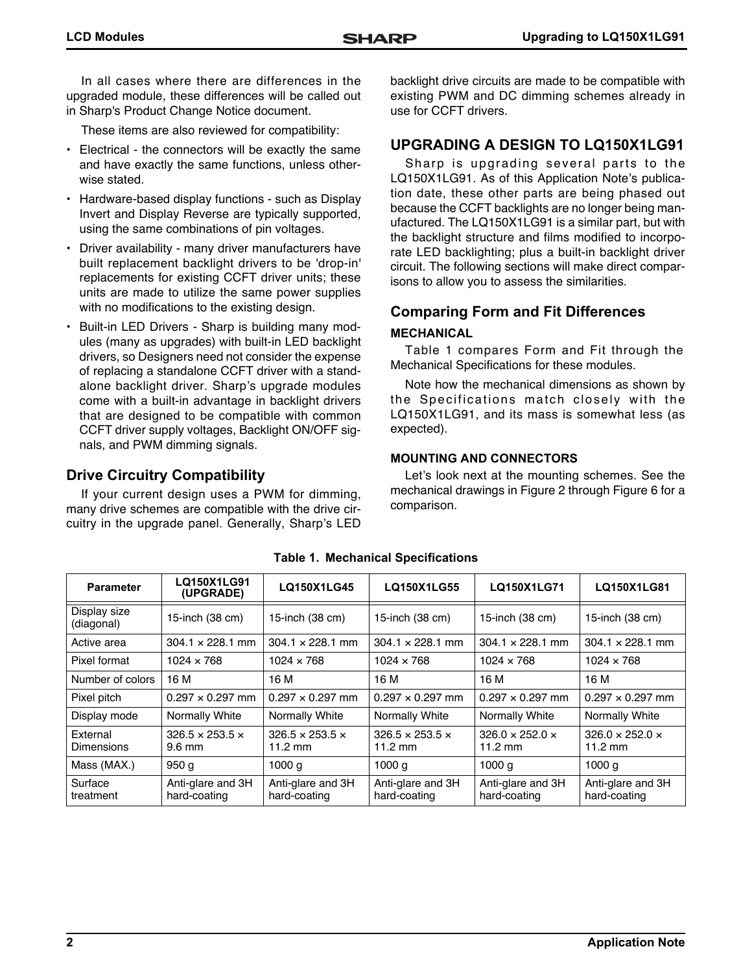In all cases where there are differences in the upgraded module, these differences will be called out in Sharp's Product Change Notice document.

These items are also reviewed for compatibility:

- Electrical the connectors will be exactly the same and have exactly the same functions, unless otherwise stated.
- Hardware-based display functions such as Display Invert and Display Reverse are typically supported, using the same combinations of pin voltages.
- Driver availability many driver manufacturers have built replacement backlight drivers to be 'drop-in' replacements for existing CCFT driver units; these units are made to utilize the same power supplies with no modifications to the existing design.
- Built-in LED Drivers Sharp is building many modules (many as upgrades) with built-in LED backlight drivers, so Designers need not consider the expense of replacing a standalone CCFT driver with a standalone backlight driver. Sharp's upgrade modules come with a built-in advantage in backlight drivers that are designed to be compatible with common CCFT driver supply voltages, Backlight ON/OFF signals, and PWM dimming signals.

### **Drive Circuitry Compatibility**

If your current design uses a PWM for dimming, many drive schemes are compatible with the drive circuitry in the upgrade panel. Generally, Sharp's LED backlight drive circuits are made to be compatible with existing PWM and DC dimming schemes already in use for CCFT drivers.

### **UPGRADING A DESIGN TO LQ150X1LG91**

Sharp is upgrading several parts to the LQ150X1LG91. As of this Application Note's publication date, these other parts are being phased out because the CCFT backlights are no longer being manufactured. The LQ150X1LG91 is a similar part, but with the backlight structure and films modified to incorporate LED backlighting; plus a built-in backlight driver circuit. The following sections will make direct comparisons to allow you to assess the similarities.

## **Comparing Form and Fit Differences**

#### **MECHANICAL**

[Table 1](#page-1-0) compares Form and Fit through the Mechanical Specifications for these modules.

Note how the mechanical dimensions as shown by the Specifications match closely with the LQ150X1LG91, and its mass is somewhat less (as expected).

#### **MOUNTING AND CONNECTORS**

Let's look next at the mounting schemes. See the mechanical drawings in [Figure 2](#page-2-0) through [Figure 6](#page-6-0) for a comparison.

<span id="page-1-0"></span>

| <b>Parameter</b>              | LQ150X1LG91<br>(UPGRADE)                        | LQ150X1LG45                                      | LQ150X1LG55                                      | LQ150X1LG71                                      | LQ150X1LG81                                      |
|-------------------------------|-------------------------------------------------|--------------------------------------------------|--------------------------------------------------|--------------------------------------------------|--------------------------------------------------|
| Display size<br>(diagonal)    | 15-inch (38 cm)                                 | 15-inch (38 cm)                                  | 15-inch (38 cm)                                  | 15-inch (38 cm)                                  | 15-inch (38 cm)                                  |
| Active area                   | $304.1 \times 228.1$ mm                         | $304.1 \times 228.1$ mm                          | $304.1 \times 228.1$ mm                          | $304.1 \times 228.1$ mm                          | $304.1 \times 228.1$ mm                          |
| Pixel format                  | $1024 \times 768$                               | $1024 \times 768$                                | $1024 \times 768$                                | $1024 \times 768$                                | $1024 \times 768$                                |
| Number of colors              | 16 M                                            | 16 M                                             | 16 M                                             | 16 M                                             | 16 M                                             |
| Pixel pitch                   | $0.297 \times 0.297$ mm                         | $0.297 \times 0.297$ mm                          | $0.297 \times 0.297$ mm                          | $0.297 \times 0.297$ mm                          | $0.297 \times 0.297$ mm                          |
| Display mode                  | Normally White                                  | Normally White                                   | Normally White                                   | Normally White                                   | Normally White                                   |
| External<br><b>Dimensions</b> | $326.5 \times 253.5 \times$<br>$9.6 \text{ mm}$ | $326.5 \times 253.5 \times$<br>$11.2 \text{ mm}$ | $326.5 \times 253.5 \times$<br>$11.2 \text{ mm}$ | $326.0 \times 252.0 \times$<br>$11.2 \text{ mm}$ | $326.0 \times 252.0 \times$<br>$11.2 \text{ mm}$ |
| Mass (MAX.)                   | 950q                                            | 1000q                                            | 1000 g                                           | 1000 <sub>q</sub>                                | 1000 g                                           |
| Surface<br>treatment          | Anti-glare and 3H<br>hard-coating               | Anti-glare and 3H<br>hard-coating                | Anti-glare and 3H<br>hard-coating                | Anti-glare and 3H<br>hard-coating                | Anti-glare and 3H<br>hard-coating                |

**Table 1. Mechanical Specifications**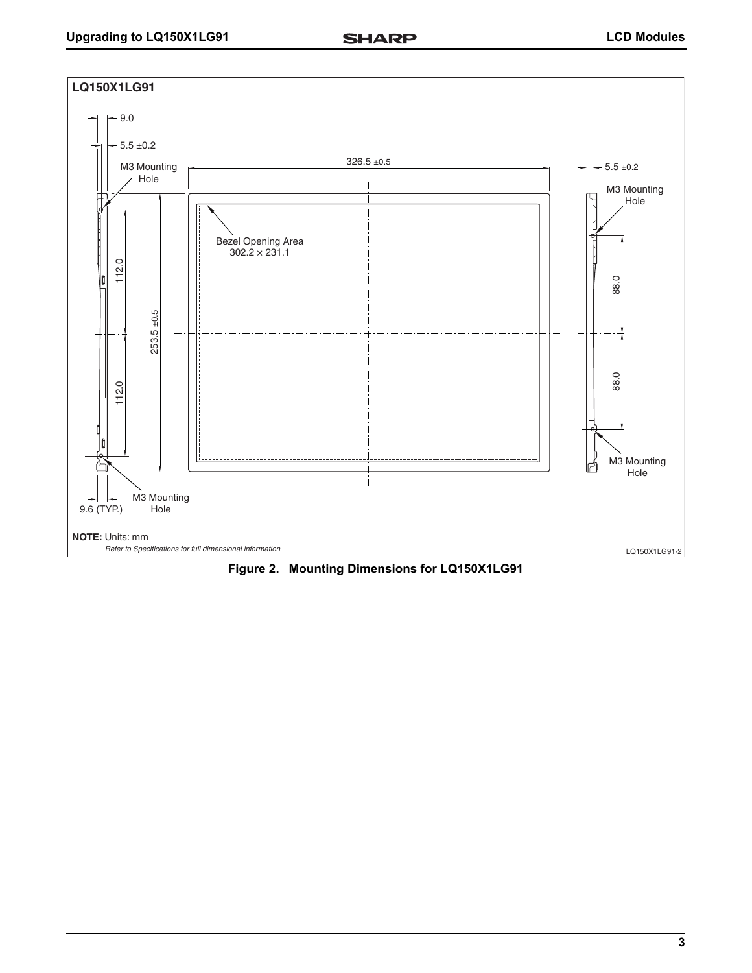

<span id="page-2-0"></span>**Figure 2. Mounting Dimensions for LQ150X1LG91**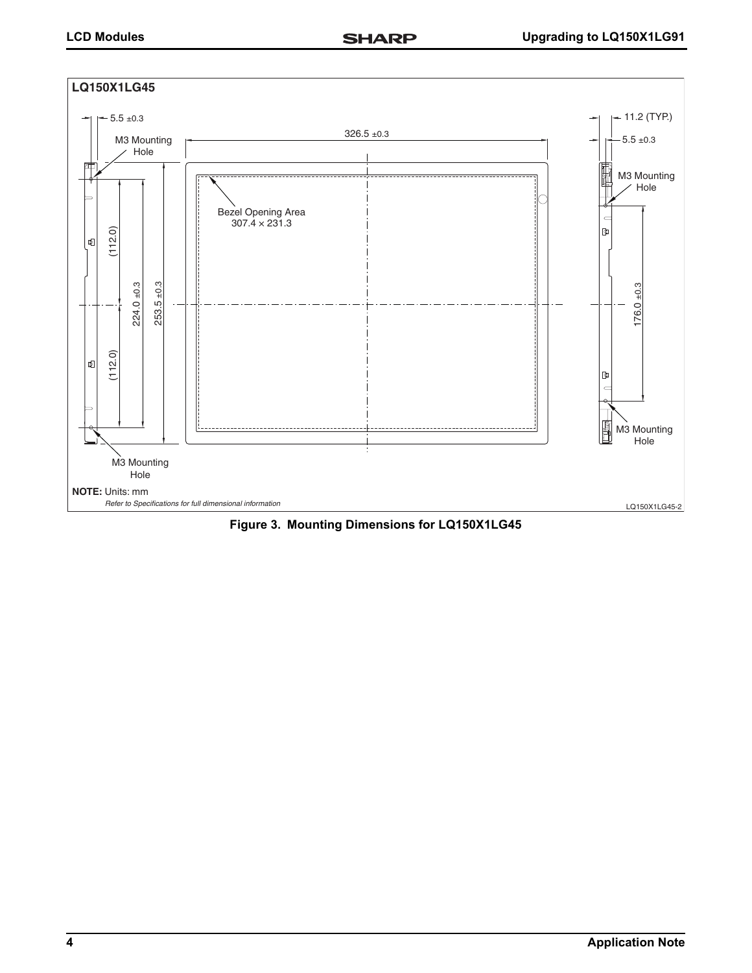

**Figure 3. Mounting Dimensions for LQ150X1LG45**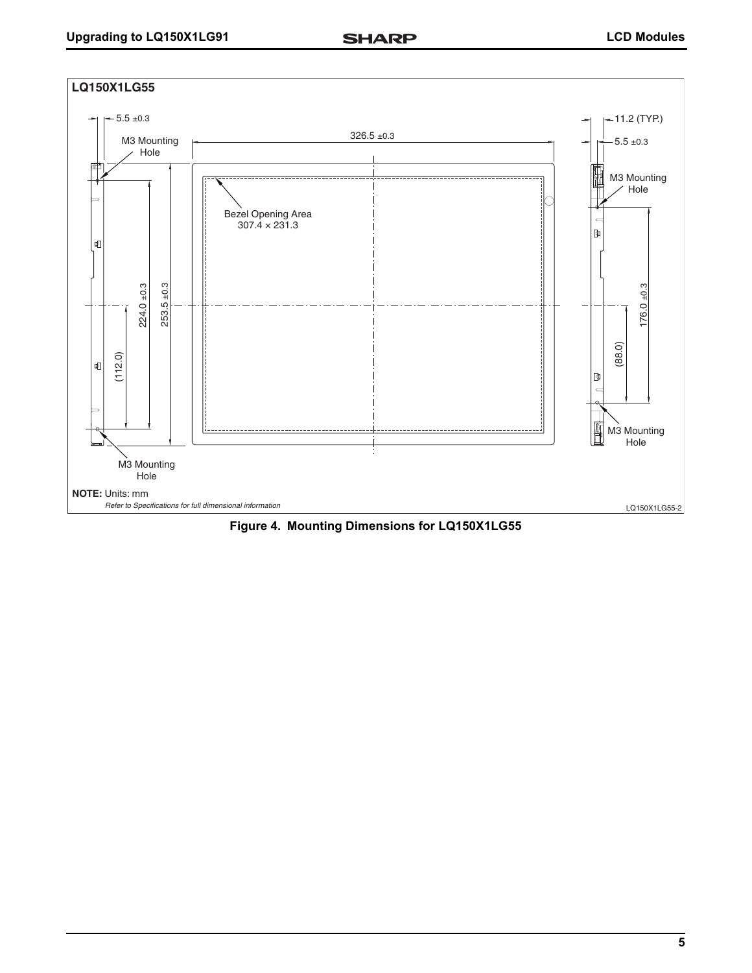

**Figure 4. Mounting Dimensions for LQ150X1LG55**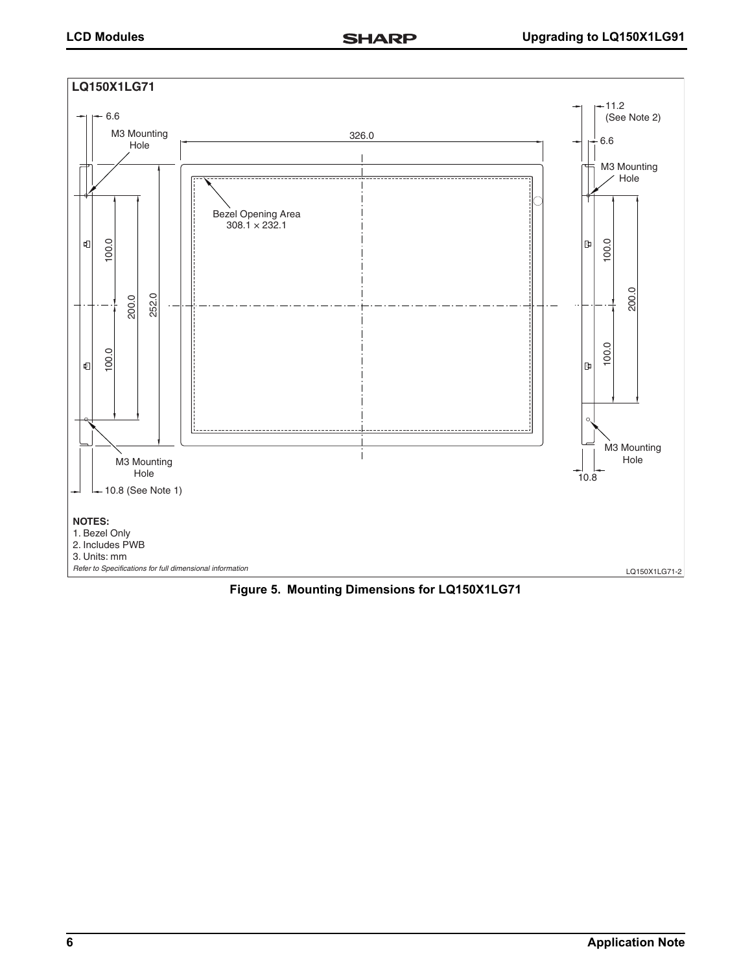

**Figure 5. Mounting Dimensions for LQ150X1LG71**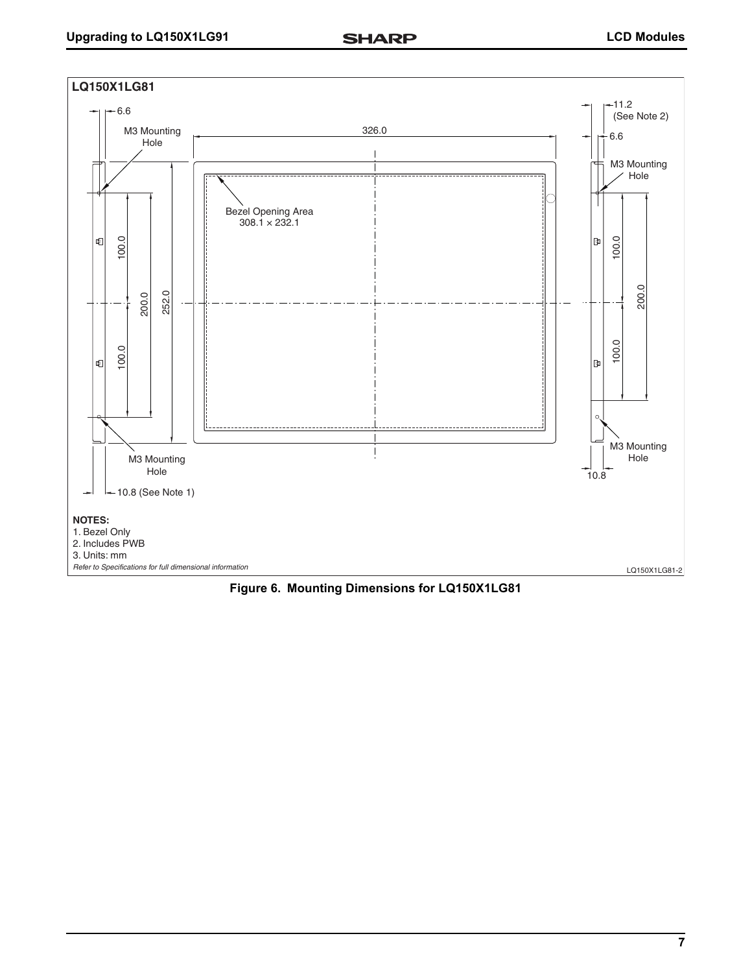

<span id="page-6-0"></span>**Figure 6. Mounting Dimensions for LQ150X1LG81**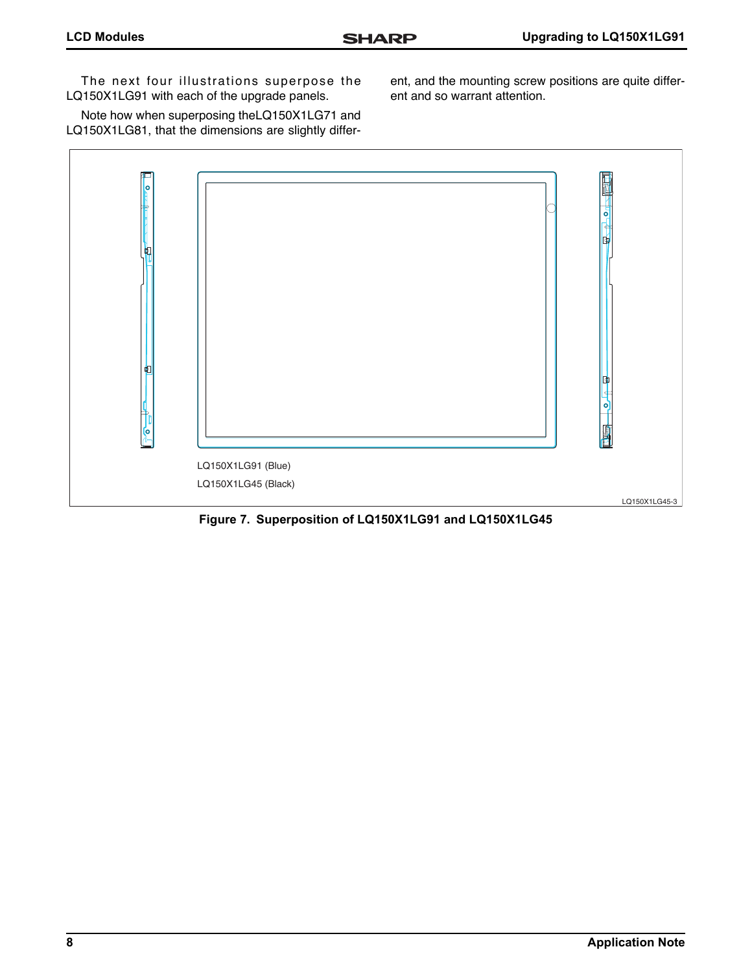The next four illustrations superpose the LQ150X1LG91 with each of the upgrade panels.

Note how when superposing theLQ150X1LG71 and LQ150X1LG81, that the dimensions are slightly different, and the mounting screw positions are quite different and so warrant attention.



**Figure 7. Superposition of LQ150X1LG91 and LQ150X1LG45**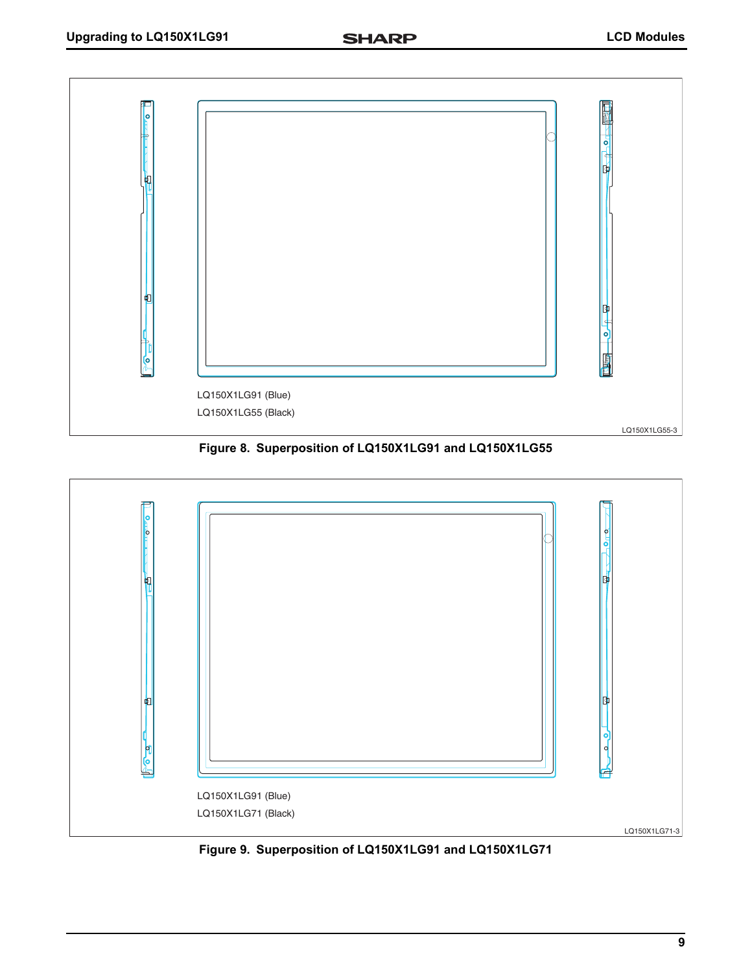

**Figure 8. Superposition of LQ150X1LG91 and LQ150X1LG55**



**Figure 9. Superposition of LQ150X1LG91 and LQ150X1LG71**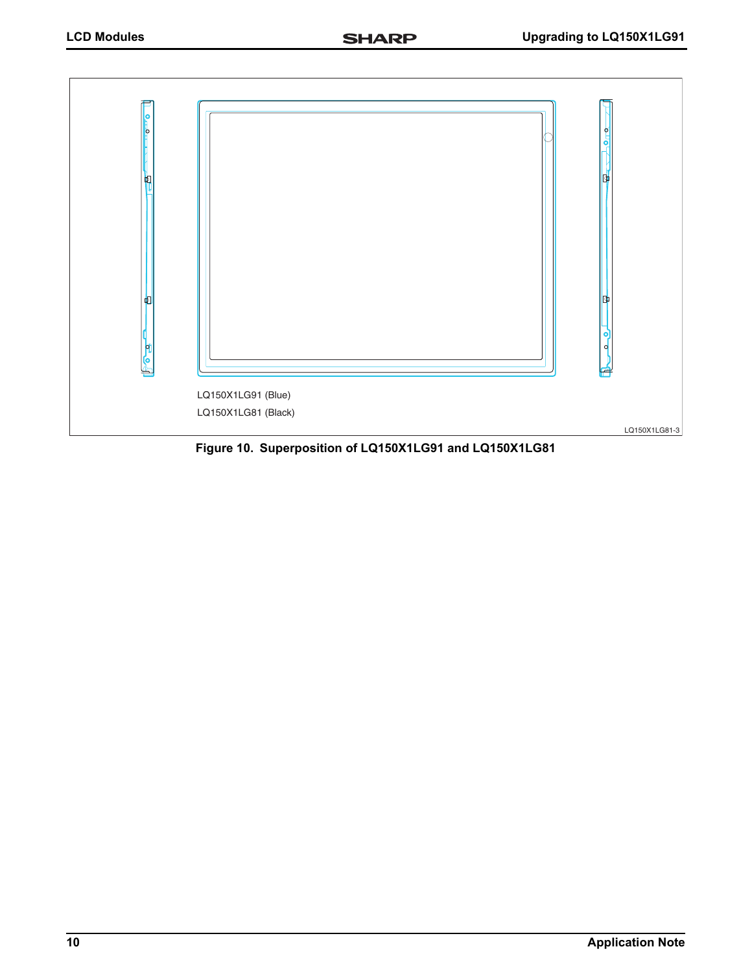

**Figure 10. Superposition of LQ150X1LG91 and LQ150X1LG81**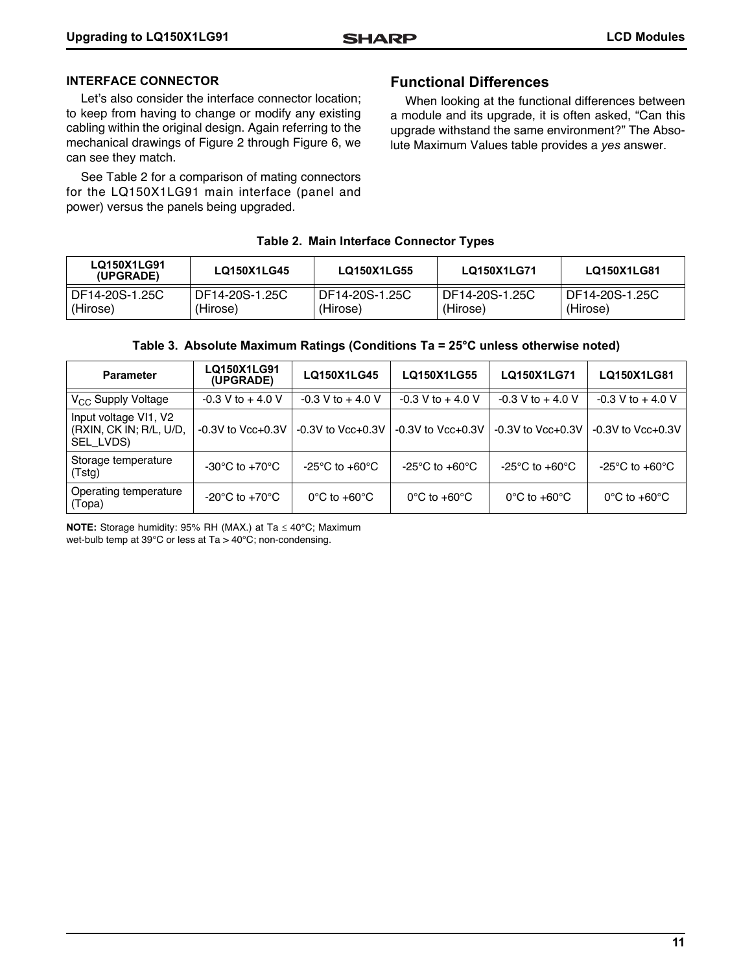#### **INTERFACE CONNECTOR**

Let's also consider the interface connector location; to keep from having to change or modify any existing cabling within the original design. Again referring to the mechanical drawings of [Figure 2](#page-2-0) through [Figure 6](#page-6-0), we can see they match.

See [Table 2](#page-10-0) for a comparison of mating connectors for the LQ150X1LG91 main interface (panel and power) versus the panels being upgraded.

#### **Functional Differences**

When looking at the functional differences between a module and its upgrade, it is often asked, "Can this upgrade withstand the same environment?" The Absolute Maximum Values table provides a *yes* answer.

#### **Table 2. Main Interface Connector Types**

<span id="page-10-0"></span>

| LQ150X1LG91<br>(UPGRADE) | LQ150X1LG45    | LQ150X1LG55    | LQ150X1LG71      | LQ150X1LG81    |
|--------------------------|----------------|----------------|------------------|----------------|
| DF14-20S-1.25C           | DF14-20S-1.25C | DF14-20S-1.25C | l DF14-20S-1.25C | DF14-20S-1.25C |
| (Hirose)                 | (Hirose)       | (Hirose)       | (Hirose)         | (Hirose)       |

| Table 3. Absolute Maximum Ratings (Conditions Ta = 25°C unless otherwise noted) |  |  |  |  |
|---------------------------------------------------------------------------------|--|--|--|--|
|---------------------------------------------------------------------------------|--|--|--|--|

| <b>Parameter</b>                                              | LQ150X1LG91<br>(UPGRADE)                             | LQ150X1LG45                        | LQ150X1LG55                        | LQ150X1LG71                       | LQ150X1LG81                                          |
|---------------------------------------------------------------|------------------------------------------------------|------------------------------------|------------------------------------|-----------------------------------|------------------------------------------------------|
| V <sub>CC</sub> Supply Voltage                                | $-0.3$ V to $+4.0$ V                                 | $-0.3$ V to $+4.0$ V               | $-0.3$ V to $+4.0$ V               | $-0.3$ V to $+4.0$ V              | $-0.3$ V to $+4.0$ V                                 |
| Input voltage VI1, V2<br>(RXIN, CK IN; R/L, U/D,<br>SEL LVDS) | $-0.3V$ to $Vcc+0.3V$                                | $-0.3V$ to $Vcc+0.3V$              | $-0.3V$ to $Vcc+0.3V$              | $-0.3V$ to $Vcc+0.3V$             | $-0.3V$ to $Vcc+0.3V$                                |
| Storage temperature<br>(Tstg)                                 | -30 $\rm{^{\circ}C}$ to +70 $\rm{^{\circ}C}$         | $-25^{\circ}$ C to $+60^{\circ}$ C | $-25^{\circ}$ C to $+60^{\circ}$ C | -25°C to +60°C                    | -25 $\mathrm{^{\circ}C}$ to +60 $\mathrm{^{\circ}C}$ |
| Operating temperature<br>(Topa)                               | -20 $\mathrm{^{\circ}C}$ to +70 $\mathrm{^{\circ}C}$ | $0^{\circ}$ C to +60 $^{\circ}$ C  | $0^{\circ}$ C to +60 $^{\circ}$ C  | $0^{\circ}$ C to +60 $^{\circ}$ C | $0^{\circ}$ C to +60 $^{\circ}$ C                    |

**NOTE:** Storage humidity: 95% RH (MAX.) at Ta  $\leq$  40°C; Maximum wet-bulb temp at 39°C or less at Ta > 40°C; non-condensing.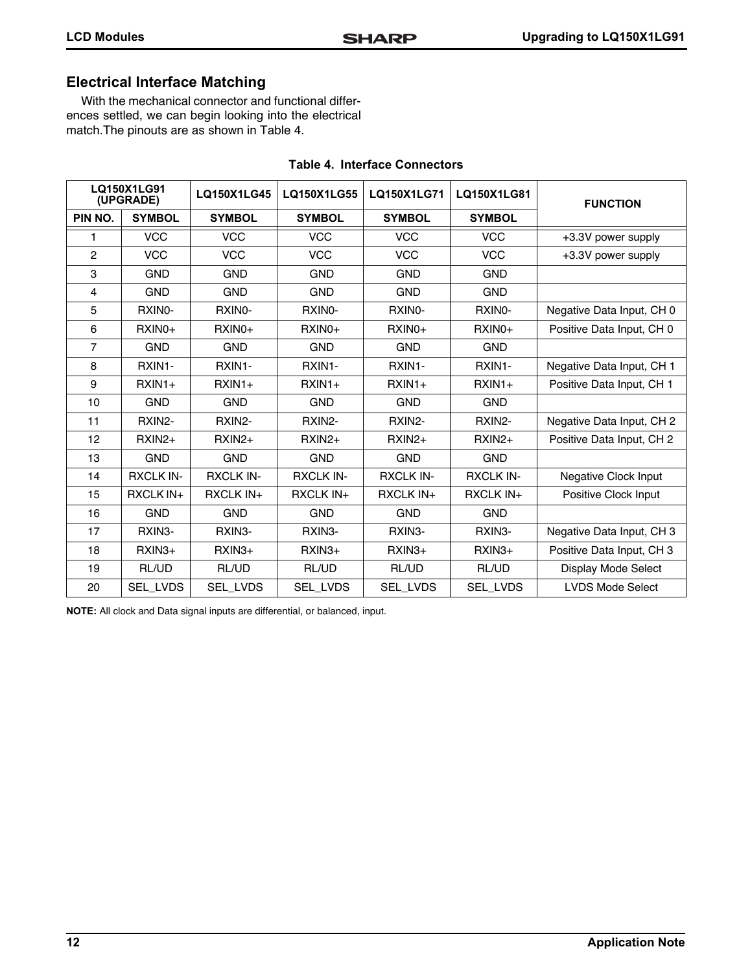### **Electrical Interface Matching**

With the mechanical connector and functional differences settled, we can begin looking into the electrical match.The pinouts are as shown in [Table 4](#page-11-0).

<span id="page-11-0"></span>

| LQ150X1LG91<br>(UPGRADE) |                  | LQ150X1LG45         | LQ150X1LG55         | LQ150X1LG71        | LQ150X1LG81         | <b>FUNCTION</b>           |
|--------------------------|------------------|---------------------|---------------------|--------------------|---------------------|---------------------------|
| PIN NO.                  | <b>SYMBOL</b>    | <b>SYMBOL</b>       | <b>SYMBOL</b>       | <b>SYMBOL</b>      | <b>SYMBOL</b>       |                           |
| 1                        | <b>VCC</b>       | <b>VCC</b>          | <b>VCC</b>          | <b>VCC</b>         | <b>VCC</b>          | +3.3V power supply        |
| $\overline{c}$           | <b>VCC</b>       | <b>VCC</b>          | <b>VCC</b>          | <b>VCC</b>         | <b>VCC</b>          | +3.3V power supply        |
| 3                        | <b>GND</b>       | <b>GND</b>          | <b>GND</b>          | <b>GND</b>         | <b>GND</b>          |                           |
| 4                        | <b>GND</b>       | <b>GND</b>          | <b>GND</b>          | <b>GND</b>         | <b>GND</b>          |                           |
| 5                        | RXINO-           | RXINO-              | RXINO-              | RXIN0-             | RXINO-              | Negative Data Input, CH 0 |
| 6                        | $RXINO+$         | $RXINO+$            | $RXINO+$            | RXIN <sub>0+</sub> | RXIN <sub>0+</sub>  | Positive Data Input, CH 0 |
| $\overline{7}$           | <b>GND</b>       | <b>GND</b>          | <b>GND</b>          | <b>GND</b>         | <b>GND</b>          |                           |
| 8                        | RXIN1-           | RXIN1-              | RXIN1-              | RXIN1-             | RXIN1-              | Negative Data Input, CH 1 |
| 9                        | $RXIN1+$         | $RXIN1+$            | $RXIN1+$            | $RXIN1+$           | $RXIN1+$            | Positive Data Input, CH 1 |
| 10                       | <b>GND</b>       | <b>GND</b>          | <b>GND</b>          | <b>GND</b>         | <b>GND</b>          |                           |
| 11                       | RXIN2-           | RXIN2-              | RXIN2-              | RXIN2-             | RXIN2-              | Negative Data Input, CH 2 |
| 12                       | $RXIN2+$         | $RXIN2+$            | $RXIN2+$            | RXIN2+             | $RXIN2+$            | Positive Data Input, CH 2 |
| 13                       | <b>GND</b>       | <b>GND</b>          | <b>GND</b>          | <b>GND</b>         | <b>GND</b>          |                           |
| 14                       | <b>RXCLK IN-</b> | <b>RXCLK IN-</b>    | <b>RXCLK IN-</b>    | <b>RXCLK IN-</b>   | <b>RXCLK IN-</b>    | Negative Clock Input      |
| 15                       | RXCLK IN+        | <b>RXCLK IN+</b>    | <b>RXCLK IN+</b>    | <b>RXCLK IN+</b>   | <b>RXCLK IN+</b>    | Positive Clock Input      |
| 16                       | <b>GND</b>       | <b>GND</b>          | <b>GND</b>          | <b>GND</b>         | <b>GND</b>          |                           |
| 17                       | RXIN3-           | RXIN <sub>3</sub> - | RXIN <sub>3</sub> - | RXIN3-             | RXIN <sub>3</sub> - | Negative Data Input, CH 3 |
| 18                       | $RXIN3+$         | $RXIN3+$            | $RXIN3+$            | $RXIN3+$           | $RXIN3+$            | Positive Data Input, CH 3 |
| 19                       | RL/UD            | RL/UD               | RL/UD               | RL/UD              | RL/UD               | Display Mode Select       |
| 20                       | SEL LVDS         | SEL_LVDS            | SEL_LVDS            | SEL_LVDS           | SEL_LVDS            | <b>LVDS Mode Select</b>   |

#### **Table 4. Interface Connectors**

**NOTE:** All clock and Data signal inputs are differential, or balanced, input.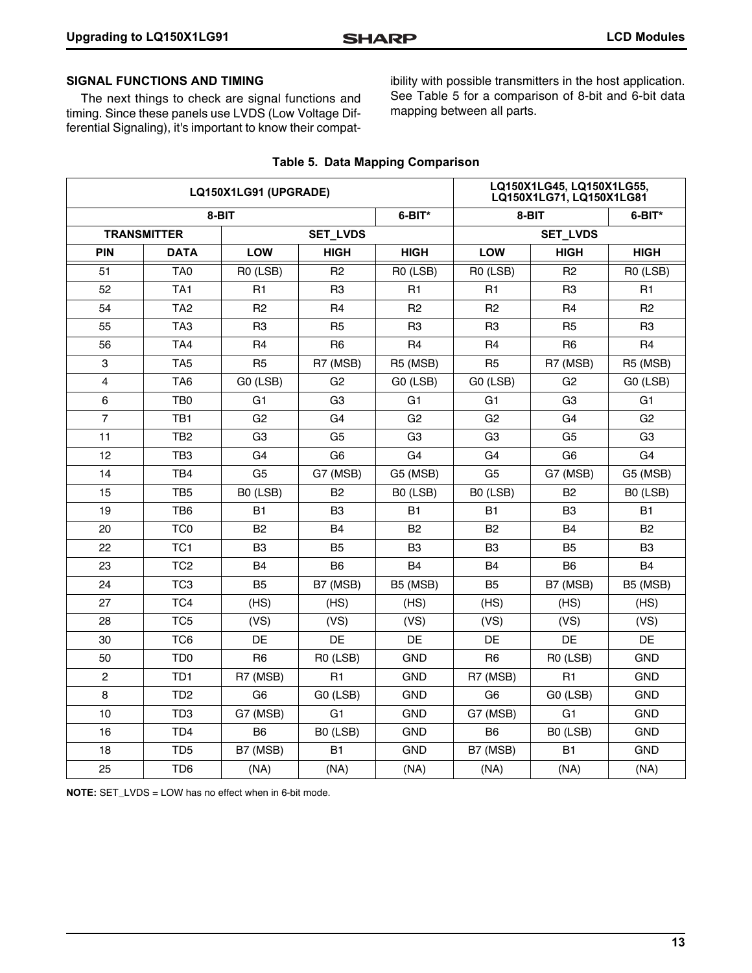#### **SIGNAL FUNCTIONS AND TIMING**

The next things to check are signal functions and timing. Since these panels use LVDS (Low Voltage Differential Signaling), it's important to know their compatibility with possible transmitters in the host application. See [Table 5](#page-12-0) for a comparison of 8-bit and 6-bit data mapping between all parts.

<span id="page-12-0"></span>

| LQ150X1LG91 (UPGRADE) |                    |                |                 |                 | LQ150X1LG45, LQ150X1LG55,<br>LQ150X1LG71, LQ150X1LG81 |                |                |  |
|-----------------------|--------------------|----------------|-----------------|-----------------|-------------------------------------------------------|----------------|----------------|--|
|                       | 8-BIT              |                |                 | 6-BIT*          | 8-BIT                                                 | 6-BIT*         |                |  |
|                       | <b>TRANSMITTER</b> |                | <b>SET_LVDS</b> | <b>SET_LVDS</b> |                                                       |                |                |  |
| <b>PIN</b>            | <b>DATA</b>        | <b>LOW</b>     | <b>HIGH</b>     | <b>HIGH</b>     | LOW                                                   | <b>HIGH</b>    | <b>HIGH</b>    |  |
| 51                    | TA <sub>0</sub>    | R0 (LSB)       | R <sub>2</sub>  | R0 (LSB)        | R0 (LSB)                                              | R <sub>2</sub> | R0 (LSB)       |  |
| 52                    | TA <sub>1</sub>    | R <sub>1</sub> | R <sub>3</sub>  | R <sub>1</sub>  | R <sub>1</sub>                                        | R <sub>3</sub> | R <sub>1</sub> |  |
| 54                    | TA <sub>2</sub>    | R <sub>2</sub> | R <sub>4</sub>  | R <sub>2</sub>  | R <sub>2</sub>                                        | R <sub>4</sub> | R <sub>2</sub> |  |
| 55                    | TA <sub>3</sub>    | R <sub>3</sub> | R <sub>5</sub>  | R <sub>3</sub>  | R <sub>3</sub>                                        | R <sub>5</sub> | R <sub>3</sub> |  |
| 56                    | TA4                | R <sub>4</sub> | R <sub>6</sub>  | R <sub>4</sub>  | R4                                                    | R <sub>6</sub> | R <sub>4</sub> |  |
| 3                     | TA <sub>5</sub>    | R <sub>5</sub> | R7 (MSB)        | R5 (MSB)        | R <sub>5</sub>                                        | R7 (MSB)       | R5 (MSB)       |  |
| $\overline{4}$        | TA <sub>6</sub>    | GO (LSB)       | G <sub>2</sub>  | GO (LSB)        | G0 (LSB)                                              | G <sub>2</sub> | GO (LSB)       |  |
| 6                     | TB <sub>0</sub>    | G <sub>1</sub> | G <sub>3</sub>  | G <sub>1</sub>  | G1                                                    | G <sub>3</sub> | G <sub>1</sub> |  |
| $\overline{7}$        | TB1                | G <sub>2</sub> | G <sub>4</sub>  | G <sub>2</sub>  | G <sub>2</sub>                                        | G <sub>4</sub> | G <sub>2</sub> |  |
| 11                    | TB <sub>2</sub>    | G <sub>3</sub> | G <sub>5</sub>  | G <sub>3</sub>  | G <sub>3</sub>                                        | G <sub>5</sub> | G <sub>3</sub> |  |
| 12                    | TB <sub>3</sub>    | G <sub>4</sub> | G <sub>6</sub>  | G <sub>4</sub>  | G <sub>4</sub>                                        | G <sub>6</sub> | G4             |  |
| 14                    | TB4                | G <sub>5</sub> | G7 (MSB)        | G5 (MSB)        | G <sub>5</sub>                                        | G7 (MSB)       | G5 (MSB)       |  |
| 15                    | TB <sub>5</sub>    | B0 (LSB)       | B <sub>2</sub>  | B0 (LSB)        | B0 (LSB)                                              | B <sub>2</sub> | B0 (LSB)       |  |
| 19                    | TB6                | <b>B1</b>      | B <sub>3</sub>  | <b>B1</b>       | <b>B1</b>                                             | B <sub>3</sub> | <b>B1</b>      |  |
| 20                    | TC <sub>0</sub>    | <b>B2</b>      | <b>B4</b>       | B <sub>2</sub>  | B <sub>2</sub>                                        | <b>B4</b>      | B <sub>2</sub> |  |
| 22                    | TC <sub>1</sub>    | B <sub>3</sub> | B <sub>5</sub>  | B3              | B <sub>3</sub>                                        | B <sub>5</sub> | B <sub>3</sub> |  |
| 23                    | TC <sub>2</sub>    | <b>B4</b>      | B <sub>6</sub>  | <b>B4</b>       | <b>B4</b>                                             | B <sub>6</sub> | <b>B4</b>      |  |
| 24                    | TC <sub>3</sub>    | B <sub>5</sub> | B7 (MSB)        | B5 (MSB)        | B <sub>5</sub>                                        | B7 (MSB)       | B5 (MSB)       |  |
| 27                    | TC4                | (HS)           | (HS)            | (HS)            | (HS)                                                  | (HS)           | (HS)           |  |
| 28                    | TC <sub>5</sub>    | (VS)           | (VS)            | (VS)            | (VS)                                                  | (VS)           | (VS)           |  |
| 30                    | TC <sub>6</sub>    | DE             | DE              | DE              | DE                                                    | DE             | <b>DE</b>      |  |
| 50                    | TD <sub>0</sub>    | R <sub>6</sub> | R0 (LSB)        | <b>GND</b>      | R <sub>6</sub>                                        | R0 (LSB)       | <b>GND</b>     |  |
| $\overline{c}$        | TD <sub>1</sub>    | R7 (MSB)       | R <sub>1</sub>  | <b>GND</b>      | R7 (MSB)                                              | R <sub>1</sub> | <b>GND</b>     |  |
| 8                     | TD <sub>2</sub>    | G <sub>6</sub> | GO (LSB)        | <b>GND</b>      | G <sub>6</sub>                                        | GO (LSB)       | <b>GND</b>     |  |
| 10                    | TD <sub>3</sub>    | G7 (MSB)       | G <sub>1</sub>  | <b>GND</b>      | G7 (MSB)                                              | G <sub>1</sub> | <b>GND</b>     |  |
| 16                    | TD <sub>4</sub>    | B <sub>6</sub> | B0 (LSB)        | <b>GND</b>      | B <sub>6</sub>                                        | B0 (LSB)       | <b>GND</b>     |  |
| 18                    | TD <sub>5</sub>    | B7 (MSB)       | <b>B1</b>       | <b>GND</b>      | B7 (MSB)                                              | <b>B1</b>      | <b>GND</b>     |  |
| 25                    | TD <sub>6</sub>    | (NA)           | (NA)            | (NA)            | (NA)                                                  | (NA)           | (NA)           |  |

#### **Table 5. Data Mapping Comparison**

**NOTE:** SET\_LVDS = LOW has no effect when in 6-bit mode.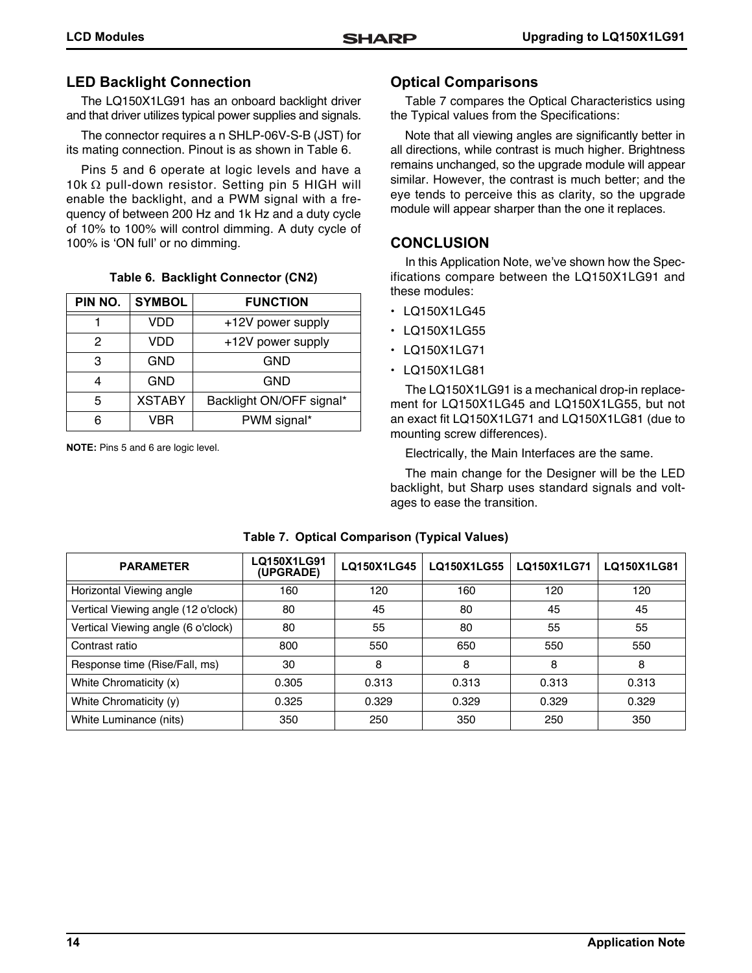### **LED Backlight Connection**

The LQ150X1LG91 has an onboard backlight driver and that driver utilizes typical power supplies and signals.

The connector requires a n SHLP-06V-S-B (JST) for its mating connection. Pinout is as shown in [Table 6](#page-13-1).

Pins 5 and 6 operate at logic levels and have a 10k  $\Omega$  pull-down resistor. Setting pin 5 HIGH will enable the backlight, and a PWM signal with a frequency of between 200 Hz and 1k Hz and a duty cycle of 10% to 100% will control dimming. A duty cycle of 100% is 'ON full' or no dimming.

#### **Table 6. Backlight Connector (CN2)**

<span id="page-13-1"></span>

| PIN NO. | <b>SYMBOL</b> | <b>FUNCTION</b>          |
|---------|---------------|--------------------------|
|         | VDD           | +12V power supply        |
| 2       | <b>VDD</b>    | +12V power supply        |
| 3       | <b>GND</b>    | <b>GND</b>               |
| 4       | <b>GND</b>    | <b>GND</b>               |
| 5       | <b>XSTABY</b> | Backlight ON/OFF signal* |
| հ       | VBR           | PWM signal*              |

**NOTE:** Pins 5 and 6 are logic level.

#### **Optical Comparisons**

[Table 7](#page-13-0) compares the Optical Characteristics using the Typical values from the Specifications:

Note that all viewing angles are significantly better in all directions, while contrast is much higher. Brightness remains unchanged, so the upgrade module will appear similar. However, the contrast is much better; and the eye tends to perceive this as clarity, so the upgrade module will appear sharper than the one it replaces.

### **CONCLUSION**

In this Application Note, we've shown how the Specifications compare between the LQ150X1LG91 and these modules:

- LQ150X1LG45
- LQ150X1LG55
- LQ150X1LG71
- LQ150X1LG81

The LQ150X1LG91 is a mechanical drop-in replacement for LQ150X1LG45 and LQ150X1LG55, but not an exact fit LQ150X1LG71 and LQ150X1LG81 (due to mounting screw differences).

Electrically, the Main Interfaces are the same.

The main change for the Designer will be the LED backlight, but Sharp uses standard signals and voltages to ease the transition.

<span id="page-13-0"></span>

| <b>PARAMETER</b>                    | <b>LQ150X1LG91</b><br>(UPGRADE) | LQ150X1LG45 | LQ150X1LG55 | LQ150X1LG71 | LQ150X1LG81 |
|-------------------------------------|---------------------------------|-------------|-------------|-------------|-------------|
| Horizontal Viewing angle            | 160                             | 120         | 160         | 120         | 120         |
| Vertical Viewing angle (12 o'clock) | 80                              | 45          | 80          | 45          | 45          |
| Vertical Viewing angle (6 o'clock)  | 80                              | 55          | 80          | 55          | 55          |
| Contrast ratio                      | 800                             | 550         | 650         | 550         | 550         |
| Response time (Rise/Fall, ms)       | 30                              | 8           | 8           | 8           | 8           |
| White Chromaticity (x)              | 0.305                           | 0.313       | 0.313       | 0.313       | 0.313       |
| White Chromaticity (y)              | 0.325                           | 0.329       | 0.329       | 0.329       | 0.329       |
| White Luminance (nits)              | 350                             | 250         | 350         | 250         | 350         |

#### **Table 7. Optical Comparison (Typical Values)**